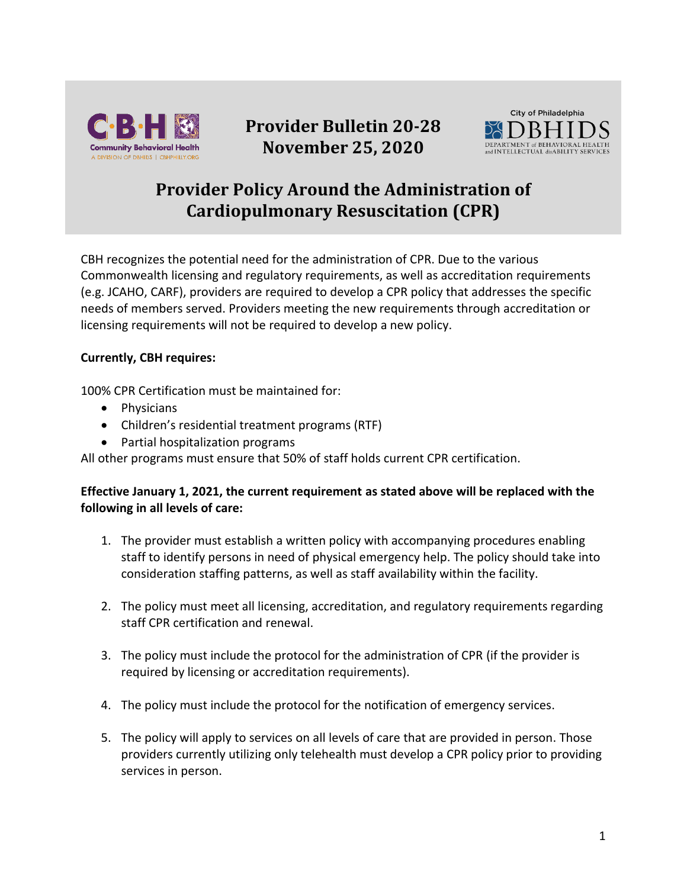

## **Provider Bulletin 20-28 November 25, 2020**



## **Provider Policy Around the Administration of Cardiopulmonary Resuscitation (CPR)**

CBH recognizes the potential need for the administration of CPR. Due to the various Commonwealth licensing and regulatory requirements, as well as accreditation requirements (e.g. JCAHO, CARF), providers are required to develop a CPR policy that addresses the specific needs of members served. Providers meeting the new requirements through accreditation or licensing requirements will not be required to develop a new policy.

## **Currently, CBH requires:**

100% CPR Certification must be maintained for:

- Physicians
- Children's residential treatment programs (RTF)
- Partial hospitalization programs

All other programs must ensure that 50% of staff holds current CPR certification.

## **Effective January 1, 2021, the current requirement as stated above will be replaced with the following in all levels of care:**

- 1. The provider must establish a written policy with accompanying procedures enabling staff to identify persons in need of physical emergency help. The policy should take into consideration staffing patterns, as well as staff availability within the facility.
- 2. The policy must meet all licensing, accreditation, and regulatory requirements regarding staff CPR certification and renewal.
- 3. The policy must include the protocol for the administration of CPR (if the provider is required by licensing or accreditation requirements).
- 4. The policy must include the protocol for the notification of emergency services.
- 5. The policy will apply to services on all levels of care that are provided in person. Those providers currently utilizing only telehealth must develop a CPR policy prior to providing services in person.